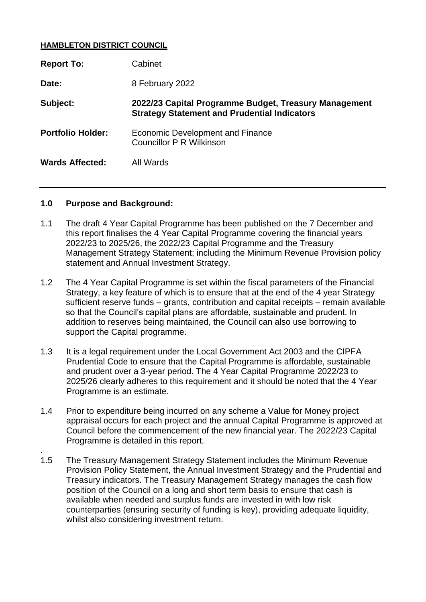#### **HAMBLETON DISTRICT COUNCIL**

| <b>Report To:</b>        | Cabinet                                                                                                      |
|--------------------------|--------------------------------------------------------------------------------------------------------------|
| Date:                    | 8 February 2022                                                                                              |
| Subject:                 | 2022/23 Capital Programme Budget, Treasury Management<br><b>Strategy Statement and Prudential Indicators</b> |
| <b>Portfolio Holder:</b> | Economic Development and Finance<br>Councillor P R Wilkinson                                                 |
| <b>Wards Affected:</b>   | All Wards                                                                                                    |

#### **1.0 Purpose and Background:**

.

- 1.1 The draft 4 Year Capital Programme has been published on the 7 December and this report finalises the 4 Year Capital Programme covering the financial years 2022/23 to 2025/26, the 2022/23 Capital Programme and the Treasury Management Strategy Statement; including the Minimum Revenue Provision policy statement and Annual Investment Strategy.
- 1.2 The 4 Year Capital Programme is set within the fiscal parameters of the Financial Strategy, a key feature of which is to ensure that at the end of the 4 year Strategy sufficient reserve funds – grants, contribution and capital receipts – remain available so that the Council's capital plans are affordable, sustainable and prudent. In addition to reserves being maintained, the Council can also use borrowing to support the Capital programme.
- 1.3 It is a legal requirement under the Local Government Act 2003 and the CIPFA Prudential Code to ensure that the Capital Programme is affordable, sustainable and prudent over a 3-year period. The 4 Year Capital Programme 2022/23 to 2025/26 clearly adheres to this requirement and it should be noted that the 4 Year Programme is an estimate.
- 1.4 Prior to expenditure being incurred on any scheme a Value for Money project appraisal occurs for each project and the annual Capital Programme is approved at Council before the commencement of the new financial year. The 2022/23 Capital Programme is detailed in this report.
- 1.5 The Treasury Management Strategy Statement includes the Minimum Revenue Provision Policy Statement, the Annual Investment Strategy and the Prudential and Treasury indicators. The Treasury Management Strategy manages the cash flow position of the Council on a long and short term basis to ensure that cash is available when needed and surplus funds are invested in with low risk counterparties (ensuring security of funding is key), providing adequate liquidity, whilst also considering investment return.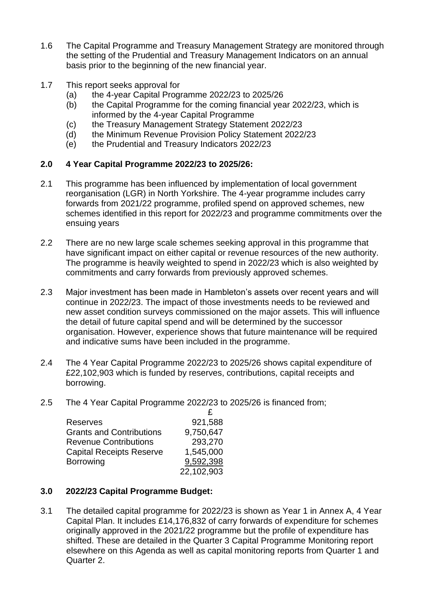- 1.6 The Capital Programme and Treasury Management Strategy are monitored through the setting of the Prudential and Treasury Management Indicators on an annual basis prior to the beginning of the new financial year.
- 1.7 This report seeks approval for
	- (a) the 4-year Capital Programme 2022/23 to 2025/26
	- (b) the Capital Programme for the coming financial year 2022/23, which is informed by the 4-year Capital Programme
	- (c) the Treasury Management Strategy Statement 2022/23
	- (d) the Minimum Revenue Provision Policy Statement 2022/23
	- (e) the Prudential and Treasury Indicators 2022/23

## **2.0 4 Year Capital Programme 2022/23 to 2025/26:**

- 2.1 This programme has been influenced by implementation of local government reorganisation (LGR) in North Yorkshire. The 4-year programme includes carry forwards from 2021/22 programme, profiled spend on approved schemes, new schemes identified in this report for 2022/23 and programme commitments over the ensuing years
- 2.2 There are no new large scale schemes seeking approval in this programme that have significant impact on either capital or revenue resources of the new authority. The programme is heavily weighted to spend in 2022/23 which is also weighted by commitments and carry forwards from previously approved schemes.
- 2.3 Major investment has been made in Hambleton's assets over recent years and will continue in 2022/23. The impact of those investments needs to be reviewed and new asset condition surveys commissioned on the major assets. This will influence the detail of future capital spend and will be determined by the successor organisation. However, experience shows that future maintenance will be required and indicative sums have been included in the programme.
- 2.4 The 4 Year Capital Programme 2022/23 to 2025/26 shows capital expenditure of £22,102,903 which is funded by reserves, contributions, capital receipts and borrowing.
- 2.5 The 4 Year Capital Programme 2022/23 to 2025/26 is financed from;

|                                 | £          |
|---------------------------------|------------|
| <b>Reserves</b>                 | 921,588    |
| <b>Grants and Contributions</b> | 9,750,647  |
| <b>Revenue Contributions</b>    | 293,270    |
| <b>Capital Receipts Reserve</b> | 1,545,000  |
| <b>Borrowing</b>                | 9,592,398  |
|                                 | 22,102,903 |

## **3.0 2022/23 Capital Programme Budget:**

3.1 The detailed capital programme for 2022/23 is shown as Year 1 in Annex A, 4 Year Capital Plan. It includes £14,176,832 of carry forwards of expenditure for schemes originally approved in the 2021/22 programme but the profile of expenditure has shifted. These are detailed in the Quarter 3 Capital Programme Monitoring report elsewhere on this Agenda as well as capital monitoring reports from Quarter 1 and Quarter 2.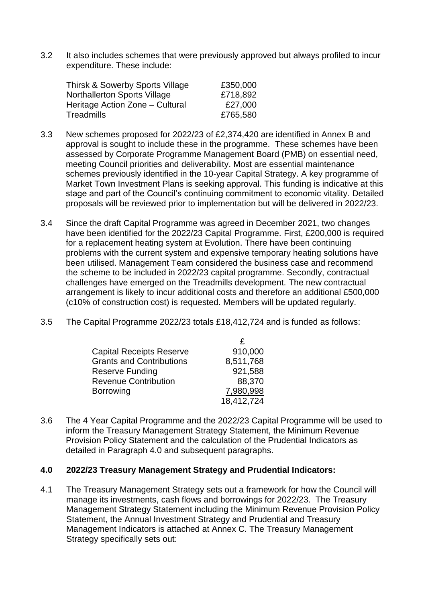3.2 It also includes schemes that were previously approved but always profiled to incur expenditure. These include:

| Thirsk & Sowerby Sports Village     | £350,000 |
|-------------------------------------|----------|
| <b>Northallerton Sports Village</b> | £718,892 |
| Heritage Action Zone – Cultural     | £27,000  |
| Treadmills                          | £765,580 |

- 3.3 New schemes proposed for 2022/23 of £2,374,420 are identified in Annex B and approval is sought to include these in the programme. These schemes have been assessed by Corporate Programme Management Board (PMB) on essential need, meeting Council priorities and deliverability. Most are essential maintenance schemes previously identified in the 10-year Capital Strategy. A key programme of Market Town Investment Plans is seeking approval. This funding is indicative at this stage and part of the Council's continuing commitment to economic vitality. Detailed proposals will be reviewed prior to implementation but will be delivered in 2022/23.
- 3.4 Since the draft Capital Programme was agreed in December 2021, two changes have been identified for the 2022/23 Capital Programme. First, £200,000 is required for a replacement heating system at Evolution. There have been continuing problems with the current system and expensive temporary heating solutions have been utilised. Management Team considered the business case and recommend the scheme to be included in 2022/23 capital programme. Secondly, contractual challenges have emerged on the Treadmills development. The new contractual arrangement is likely to incur additional costs and therefore an additional £500,000 (c10% of construction cost) is requested. Members will be updated regularly.
- 3.5 The Capital Programme 2022/23 totals £18,412,724 and is funded as follows:

| <b>Capital Receipts Reserve</b> | 910,000    |
|---------------------------------|------------|
| <b>Grants and Contributions</b> | 8,511,768  |
| Reserve Funding                 | 921,588    |
| <b>Revenue Contribution</b>     | 88,370     |
| <b>Borrowing</b>                | 7,980,998  |
|                                 | 18,412,724 |

3.6 The 4 Year Capital Programme and the 2022/23 Capital Programme will be used to inform the Treasury Management Strategy Statement, the Minimum Revenue Provision Policy Statement and the calculation of the Prudential Indicators as detailed in Paragraph 4.0 and subsequent paragraphs.

### **4.0 2022/23 Treasury Management Strategy and Prudential Indicators:**

4.1 The Treasury Management Strategy sets out a framework for how the Council will manage its investments, cash flows and borrowings for 2022/23. The Treasury Management Strategy Statement including the Minimum Revenue Provision Policy Statement, the Annual Investment Strategy and Prudential and Treasury Management Indicators is attached at Annex C. The Treasury Management Strategy specifically sets out: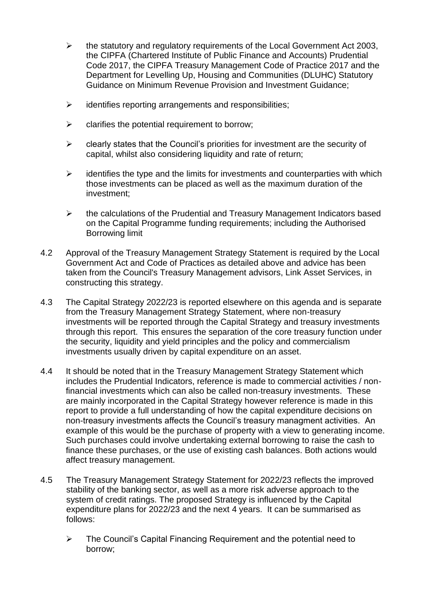- $\triangleright$  the statutory and regulatory requirements of the Local Government Act 2003, the CIPFA (Chartered Institute of Public Finance and Accounts) Prudential Code 2017, the CIPFA Treasury Management Code of Practice 2017 and the Department for Levelling Up, Housing and Communities (DLUHC) Statutory Guidance on Minimum Revenue Provision and Investment Guidance;
- $\triangleright$  identifies reporting arrangements and responsibilities;
- $\triangleright$  clarifies the potential requirement to borrow;
- $\triangleright$  clearly states that the Council's priorities for investment are the security of capital, whilst also considering liquidity and rate of return;
- $\triangleright$  identifies the type and the limits for investments and counterparties with which those investments can be placed as well as the maximum duration of the investment;
- ➢ the calculations of the Prudential and Treasury Management Indicators based on the Capital Programme funding requirements; including the Authorised Borrowing limit
- 4.2 Approval of the Treasury Management Strategy Statement is required by the Local Government Act and Code of Practices as detailed above and advice has been taken from the Council's Treasury Management advisors, Link Asset Services, in constructing this strategy.
- 4.3 The Capital Strategy 2022/23 is reported elsewhere on this agenda and is separate from the Treasury Management Strategy Statement, where non-treasury investments will be reported through the Capital Strategy and treasury investments through this report. This ensures the separation of the core treasury function under the security, liquidity and yield principles and the policy and commercialism investments usually driven by capital expenditure on an asset.
- 4.4 It should be noted that in the Treasury Management Strategy Statement which includes the Prudential Indicators, reference is made to commercial activities / nonfinancial investments which can also be called non-treasury investments. These are mainly incorporated in the Capital Strategy however reference is made in this report to provide a full understanding of how the capital expenditure decisions on non-treasury investments affects the Council's treasury managment activities. An example of this would be the purchase of property with a view to generating income. Such purchases could involve undertaking external borrowing to raise the cash to finance these purchases, or the use of existing cash balances. Both actions would affect treasury management.
- 4.5 The Treasury Management Strategy Statement for 2022/23 reflects the improved stability of the banking sector, as well as a more risk adverse approach to the system of credit ratings. The proposed Strategy is influenced by the Capital expenditure plans for 2022/23 and the next 4 years. It can be summarised as follows:
	- ➢ The Council's Capital Financing Requirement and the potential need to borrow;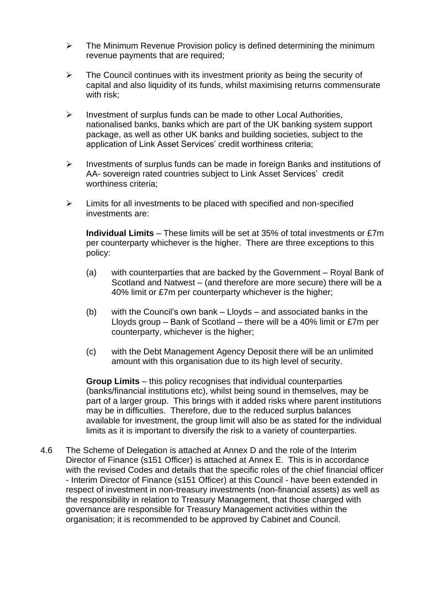- $\triangleright$  The Minimum Revenue Provision policy is defined determining the minimum revenue payments that are required;
- $\triangleright$  The Council continues with its investment priority as being the security of capital and also liquidity of its funds, whilst maximising returns commensurate with risk;
- ➢ Investment of surplus funds can be made to other Local Authorities, nationalised banks, banks which are part of the UK banking system support package, as well as other UK banks and building societies, subject to the application of Link Asset Services' credit worthiness criteria;
- ➢ Investments of surplus funds can be made in foreign Banks and institutions of AA- sovereign rated countries subject to Link Asset Services' credit worthiness criteria;
- ➢ Limits for all investments to be placed with specified and non-specified investments are:

**Individual Limits** – These limits will be set at 35% of total investments or £7m per counterparty whichever is the higher. There are three exceptions to this policy:

- (a) with counterparties that are backed by the Government Royal Bank of Scotland and Natwest – (and therefore are more secure) there will be a 40% limit or £7m per counterparty whichever is the higher;
- (b) with the Council's own bank Lloyds and associated banks in the Lloyds group – Bank of Scotland – there will be a 40% limit or £7m per counterparty, whichever is the higher;
- (c) with the Debt Management Agency Deposit there will be an unlimited amount with this organisation due to its high level of security.

**Group Limits** – this policy recognises that individual counterparties (banks/financial institutions etc), whilst being sound in themselves, may be part of a larger group. This brings with it added risks where parent institutions may be in difficulties. Therefore, due to the reduced surplus balances available for investment, the group limit will also be as stated for the individual limits as it is important to diversify the risk to a variety of counterparties.

4.6 The Scheme of Delegation is attached at Annex D and the role of the Interim Director of Finance (s151 Officer) is attached at Annex E. This is in accordance with the revised Codes and details that the specific roles of the chief financial officer - Interim Director of Finance (s151 Officer) at this Council - have been extended in respect of investment in non-treasury investments (non-financial assets) as well as the responsibility in relation to Treasury Management, that those charged with governance are responsible for Treasury Management activities within the organisation; it is recommended to be approved by Cabinet and Council.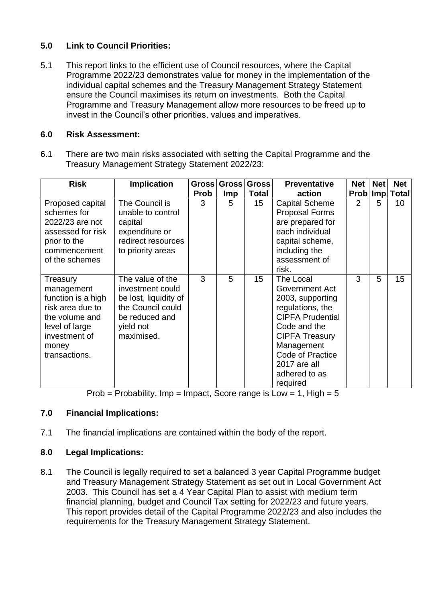# **5.0 Link to Council Priorities:**

5.1 This report links to the efficient use of Council resources, where the Capital Programme 2022/23 demonstrates value for money in the implementation of the individual capital schemes and the Treasury Management Strategy Statement ensure the Council maximises its return on investments. Both the Capital Programme and Treasury Management allow more resources to be freed up to invest in the Council's other priorities, values and imperatives.

## **6.0 Risk Assessment:**

6.1 There are two main risks associated with setting the Capital Programme and the Treasury Management Strategy Statement 2022/23:

| <b>Risk</b>                                                                                                                                     | <b>Implication</b>                                                                                                              |             | Gross Gross | <b>Gross</b> | <b>Preventative</b>                                                                                                                                                                                                           | <b>Net</b> | <b>Net</b> | <b>Net</b>     |
|-------------------------------------------------------------------------------------------------------------------------------------------------|---------------------------------------------------------------------------------------------------------------------------------|-------------|-------------|--------------|-------------------------------------------------------------------------------------------------------------------------------------------------------------------------------------------------------------------------------|------------|------------|----------------|
|                                                                                                                                                 |                                                                                                                                 | <b>Prob</b> | <b>Imp</b>  | <b>Total</b> | action                                                                                                                                                                                                                        |            |            | Prob Imp Total |
| Proposed capital<br>schemes for<br>2022/23 are not<br>assessed for risk<br>prior to the<br>commencement<br>of the schemes                       | The Council is<br>unable to control<br>capital<br>expenditure or<br>redirect resources<br>to priority areas                     | 3           | 5           | 15           | <b>Capital Scheme</b><br><b>Proposal Forms</b><br>are prepared for<br>each individual<br>capital scheme,<br>including the<br>assessment of<br>risk.                                                                           | 2          | 5          | 10             |
| Treasury<br>management<br>function is a high<br>risk area due to<br>the volume and<br>level of large<br>investment of<br>money<br>transactions. | The value of the<br>investment could<br>be lost, liquidity of<br>the Council could<br>be reduced and<br>yield not<br>maximised. | 3           | 5           | 15           | The Local<br>Government Act<br>2003, supporting<br>regulations, the<br><b>CIPFA Prudential</b><br>Code and the<br><b>CIPFA Treasury</b><br>Management<br><b>Code of Practice</b><br>2017 are all<br>adhered to as<br>required | 3          | 5          | 15             |

Prob = Probability, Imp = Impact, Score range is Low = 1, High =  $5$ 

## **7.0 Financial Implications:**

7.1 The financial implications are contained within the body of the report.

## **8.0 Legal Implications:**

8.1 The Council is legally required to set a balanced 3 year Capital Programme budget and Treasury Management Strategy Statement as set out in Local Government Act 2003. This Council has set a 4 Year Capital Plan to assist with medium term financial planning, budget and Council Tax setting for 2022/23 and future years. This report provides detail of the Capital Programme 2022/23 and also includes the requirements for the Treasury Management Strategy Statement.